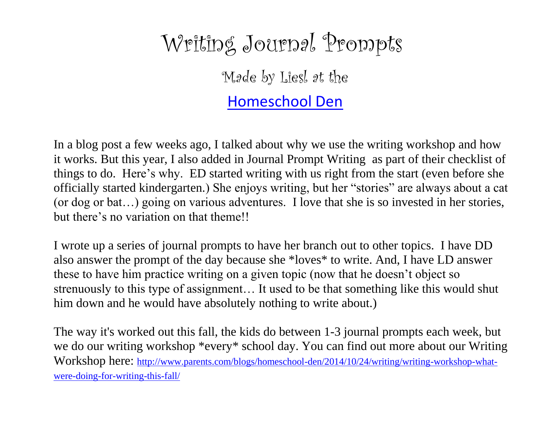## Writing Journal Prompts

Made by Liesl at the

[Homeschool Den](http://www.parents.com/blogs/homeschool-den/)

In a blog post a few weeks ago, I talked about why we use the writing workshop and how it works. But this year, I also added in Journal Prompt Writing as part of their checklist of things to do. Here's why. ED started writing with us right from the start (even before she officially started kindergarten.) She enjoys writing, but her "stories" are always about a cat (or dog or bat…) going on various adventures. I love that she is so invested in her stories, but there's no variation on that theme!!

I wrote up a series of journal prompts to have her branch out to other topics. I have DD also answer the prompt of the day because she \*loves\* to write. And, I have LD answer these to have him practice writing on a given topic (now that he doesn't object so strenuously to this type of assignment… It used to be that something like this would shut him down and he would have absolutely nothing to write about.)

The way it's worked out this fall, the kids do between 1-3 journal prompts each week, but we do our writing workshop \*every\* school day. You can find out more about our Writing Workshop here: [http://www.parents.com/blogs/homeschool-den/2014/10/24/writing/writing-workshop-what](http://www.parents.com/blogs/homeschool-den/2014/10/24/writing/writing-workshop-what-were-doing-for-writing-this-fall/)[were-doing-for-writing-this-fall/](http://www.parents.com/blogs/homeschool-den/2014/10/24/writing/writing-workshop-what-were-doing-for-writing-this-fall/)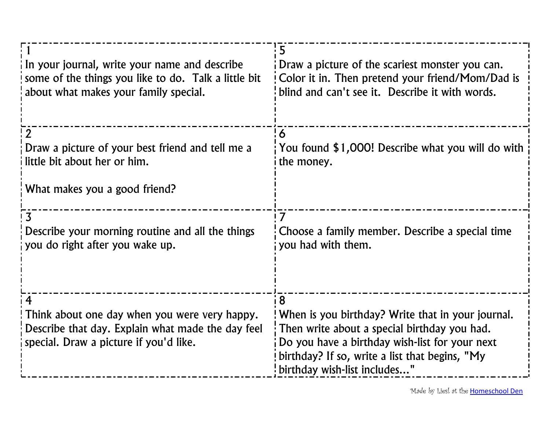| In your journal, write your name and describe<br>some of the things you like to do. Talk a little bit<br>about what makes your family special.    | 5<br>Draw a picture of the scariest monster you can.<br>Color it in. Then pretend your friend/Mom/Dad is<br>blind and can't see it. Describe it with words.                                                                                  |
|---------------------------------------------------------------------------------------------------------------------------------------------------|----------------------------------------------------------------------------------------------------------------------------------------------------------------------------------------------------------------------------------------------|
| Draw a picture of your best friend and tell me a<br>little bit about her or him.                                                                  | ¦6<br>You found \$1,000! Describe what you will do with<br>the money.                                                                                                                                                                        |
| What makes you a good friend?                                                                                                                     |                                                                                                                                                                                                                                              |
| $\overline{\mathbf{z}}$<br>Describe your morning routine and all the things<br>you do right after you wake up.                                    | 7<br>Choose a family member. Describe a special time<br>you had with them.                                                                                                                                                                   |
| 4<br>Think about one day when you were very happy.<br>Describe that day. Explain what made the day feel<br>special. Draw a picture if you'd like. | 8<br>When is you birthday? Write that in your journal.<br>: Then write about a special birthday you had.<br>Do you have a birthday wish-list for your next<br>birthday? If so, write a list that begins, "My<br>birthday wish-list includes" |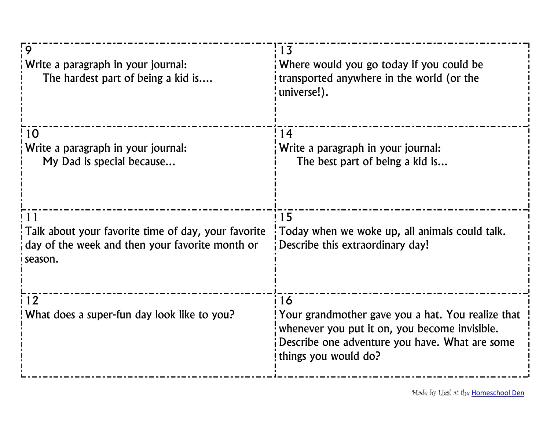| $\overline{9}$<br>Write a paragraph in your journal:<br>The hardest part of being a kid is                              | : 13<br>Where would you go today if you could be<br>transported anywhere in the world (or the<br>universe!).                                                                       |
|-------------------------------------------------------------------------------------------------------------------------|------------------------------------------------------------------------------------------------------------------------------------------------------------------------------------|
| 10<br>Write a paragraph in your journal:<br>My Dad is special because                                                   | 14<br>Write a paragraph in your journal:<br>The best part of being a kid is                                                                                                        |
| 11<br>Talk about your favorite time of day, your favorite<br>day of the week and then your favorite month or<br>season. | 15<br>Today when we woke up, all animals could talk.<br>Describe this extraordinary day!                                                                                           |
| 12<br>What does a super-fun day look like to you?                                                                       | 16<br>Your grandmother gave you a hat. You realize that<br>whenever you put it on, you become invisible.<br>Describe one adventure you have. What are some<br>things you would do? |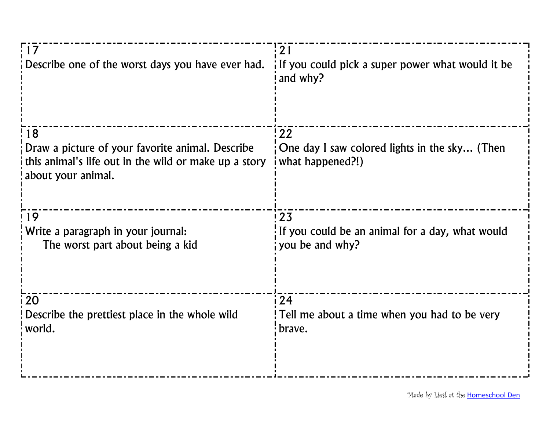| $\overline{17}$<br>Describe one of the worst days you have ever had.                                                                  | 21<br>If you could pick a super power what would it be<br>and why?        |
|---------------------------------------------------------------------------------------------------------------------------------------|---------------------------------------------------------------------------|
| 18<br>Draw a picture of your favorite animal. Describe<br>this animal's life out in the wild or make up a story<br>about your animal. | 122<br>One day I saw colored lights in the sky (Then<br>what happened?!)  |
|                                                                                                                                       |                                                                           |
| 19<br>Write a paragraph in your journal:<br>The worst part about being a kid                                                          | 123<br>If you could be an animal for a day, what would<br>you be and why? |
| 20<br>Describe the prettiest place in the whole wild<br>world.                                                                        | 124<br>Tell me about a time when you had to be very<br>brave.             |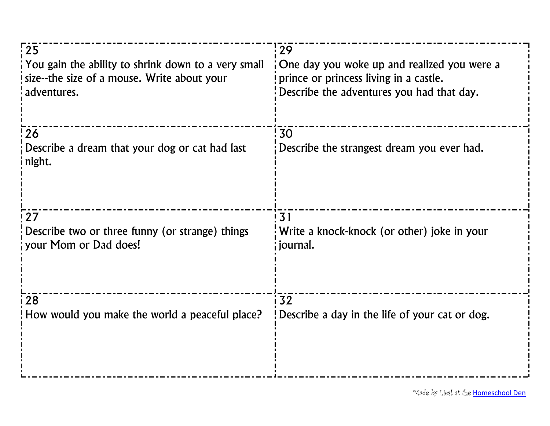| $\frac{1}{2}$                                                  | 29                                               |
|----------------------------------------------------------------|--------------------------------------------------|
| You gain the ability to shrink down to a very small            | One day you woke up and realized you were a      |
| size--the size of a mouse. Write about your                    | prince or princess living in a castle.           |
| adventures.                                                    | Describe the adventures you had that day.        |
| 26<br>Describe a dream that your dog or cat had last<br>night. | 30<br>Describe the strangest dream you ever had. |
| 27                                                             | 31                                               |
| Describe two or three funny (or strange) things                | Write a knock-knock (or other) joke in your      |
| your Mom or Dad does!                                          | journal.                                         |
| 28                                                             | 32                                               |
| How would you make the world a peaceful place?                 | Describe a day in the life of your cat or dog.   |